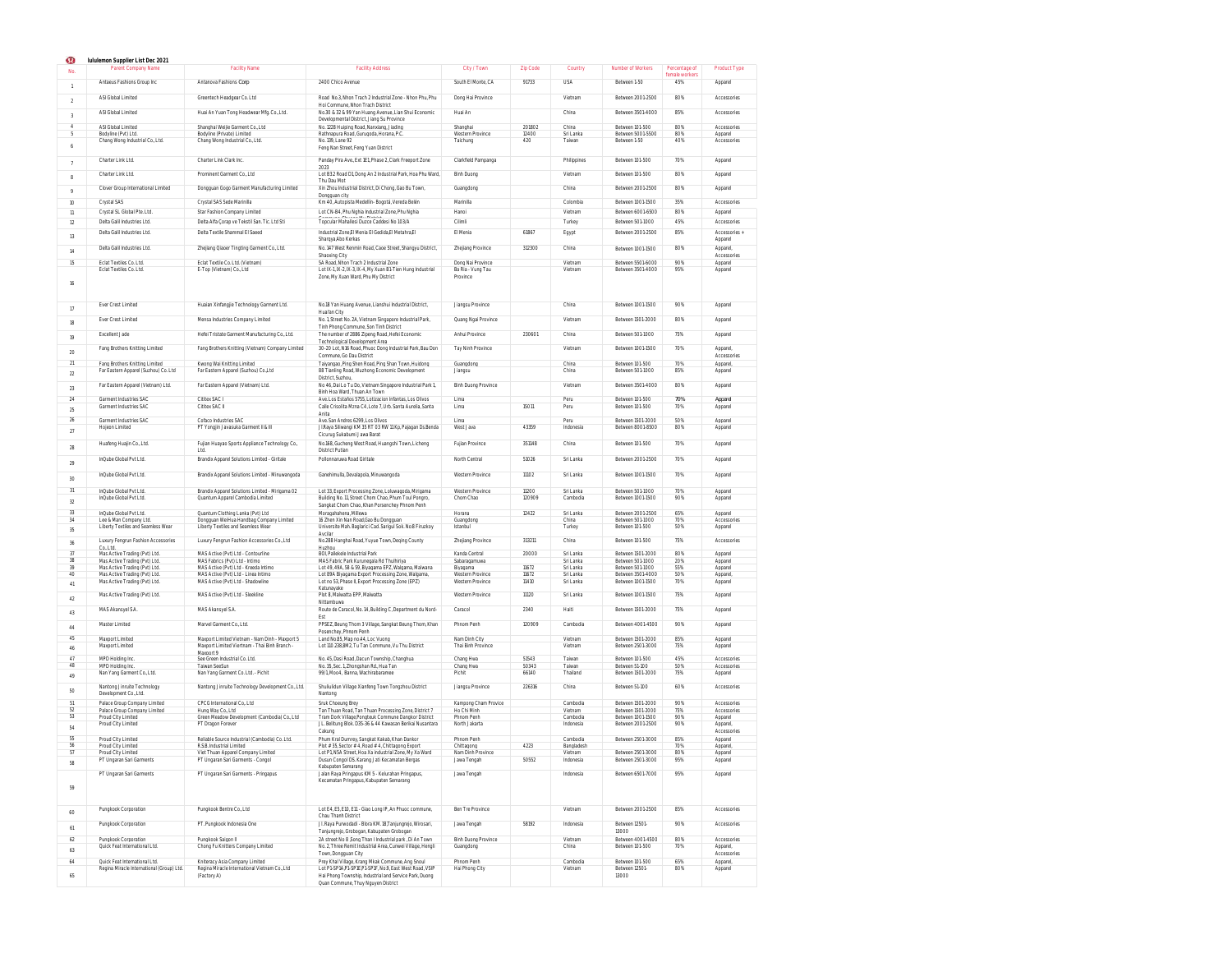| Ω                    | Iululemon Supplier List Dec 2021                                           |                                                                                         |                                                                                                                                              |                                        |                 |                        |                                        |                                 |                            |
|----------------------|----------------------------------------------------------------------------|-----------------------------------------------------------------------------------------|----------------------------------------------------------------------------------------------------------------------------------------------|----------------------------------------|-----------------|------------------------|----------------------------------------|---------------------------------|----------------------------|
|                      | Parent Company Name                                                        | <b>Facility Name</b>                                                                    | <b>Facility Address</b>                                                                                                                      | City / Town                            | Zip Code        | Country                | Number of Workers                      | Percentage of<br>female workers | <b>Product Type</b>        |
|                      | Antaeus Fashions Group Inc.                                                | Antanova Fashions Corp                                                                  | 2400 Chico Avenue                                                                                                                            | South El Monte. CA                     | 91733           | <b>USA</b>             | Between 1-50                           | 45%                             | Apparel                    |
| $\mathcal{L}$        | ASI Global Limited                                                         | Greentech Headgear Co. Ltd.                                                             | Road No.3, Nhon Trach 2 Industrial Zone - Nhon Phu, Phu                                                                                      | Dong Hai Province                      |                 | Vietnam                | Between 2001-2500                      | 80%                             | Accessories                |
| $\overline{3}$       | ASI Global Limited                                                         | Huai An Yuan Tong Headwear Mfg. Co. Ltd.                                                | Hoi Commune, Nhon Trach District<br>No.30 & 32 & 99 Yan Huang Avenue, Lian Shui Economic<br>Developmental District, Jiang Su Province        | Huai An                                |                 | China                  | Between 3501-4000                      | 85%                             | Accessories                |
|                      | ASI Global Limited                                                         | Shanghai Weijie Garment Co., Ltd.                                                       | No. 1228 Huiping Road, Nanxiang, Jiading                                                                                                     | Shanghai                               | 201802          | China                  | Between 101-500                        | 80%                             | Accessories                |
|                      | Bodyline (Pvt) Ltd.                                                        | Bodyline (Private) Limited                                                              | Rathnapura Road, Gurugoda, Horana, P.C.                                                                                                      | Western Province                       | 12400           | Sri Lanka              | Between 5001-5500                      | 80%                             | Apparel                    |
|                      | Chang Wong Industrial Co., Ltd.                                            | Chang Wong Industrial Co., Ltd.                                                         | No. 139, Lane 92<br>Feng Nan Street, Feng Yuan District                                                                                      | Taichung                               | 420             | Taiwan                 | Between 1-50                           | 40%                             | Accessories                |
|                      | Charter Link Ltd.                                                          | Charter Link Clark Inc.                                                                 | Panday Pira Ave., Ext 1E1, Phase 2, Clark Freeport Zone                                                                                      | Clarkfield Pampanga                    |                 | Philippines            | Between 101-500                        | 70%                             | Apparel                    |
| 8                    | Charter Link Ltd.                                                          | Prominent Garment Co., Ltd.                                                             | 2023<br>Lot B32 Road D1, Dong An 2 Industrial Park, Hoa Phu Ward,                                                                            | <b>Binh Duong</b>                      |                 | Vietnam                | Between 101-500                        | 80%                             | Apparel                    |
| $\circ$              | Clover Group International Limited                                         | Dongquan Gogo Garment Manufacturing Limited                                             | Thu Dau Mot<br>Xin Zhou Industrial District, Di Chong, Gao Bu Town,<br>Dongguan city                                                         | Guangdong                              |                 | China                  | Between 2001-2500                      | 80%                             | Apparel                    |
| 10                   | Crystal SAS                                                                | Crystal SAS Sede Marinilla                                                              | Km 40, Autopista Medellín- Bogotá, Vereda Belén                                                                                              | Marinilla                              |                 | Colombia               | Between 1001-1500                      | 35%                             | Accessories                |
| 11                   | Crystal SL Global Pte. Ltd.                                                | Star Fashion Company Limited                                                            | Lot CN-B4, Phu Nghia Industrial Zone, Phu Nghia                                                                                              | Hanoi                                  |                 | Vietnan                | Between 6001-6500                      | 80%                             | Apparel                    |
| 12                   | Delta Galil Industries Ltd.                                                | Delta Alfa Çorap ve Tekstil San. Tic. Ltd Sti                                           | Topcular Mahallesi Duzce Caddesi No 103/A                                                                                                    | Cilimli                                |                 | Turkey                 | Between 501-1000                       | 45%                             | Accessories                |
| 13                   | Delta Galil Industries Ltd.                                                | Delta Textile Shammal El Saeed                                                          | Industrial Zone El Menia El Gedida.El Metahra.El<br>Sharqya Abo Kerkas                                                                       | El Menia                               | 61867           | Egypt                  | Between 2001-2500                      | 85%                             | Accessories -<br>Apparel   |
| 14                   | Delta Galil Industries Ltd.                                                | Zhejiang Qiaoer Tingting Garment Co., Ltd.                                              | No. 147 West Renmin Road, Caoe Street, Shangyu District,<br>Shaoxing City                                                                    | Zhejiang Province                      | 312300          | China                  | Between 1001-1500                      | 80%                             | Apparel<br>Accessories     |
| 15                   | Eclat Textiles Co. Ltd.<br>Eclat Textiles Co. Ltd.                         | Eclat Textile Co. Ltd. (Vietnam)<br>E-Top (Vietnam) Co., Ltd.                           | 5A Road, Nhon Trach 2 Industrial Zone<br>Lot IX-1, IX-2, IX-3, IX-4, My Xuan B1-Tien Hung Industrial                                         | Dong Nai Province<br>Ba Ria - Vung Tau |                 | Vietnam<br>Vietnam     | Between 5501-6000<br>Between 3501-4000 | 90%<br>95%                      | Apparel<br>Apparel         |
| 16                   |                                                                            |                                                                                         | Zone, My Xuan Ward, Phu My District                                                                                                          | Province                               |                 |                        |                                        |                                 |                            |
| 17                   | Ever Crest Limited                                                         | Huaian Xinfangjie Technology Garment Ltd.                                               | No.18 Yan Huang Avenue, Lianshui Industrial District,<br>Huai'an City                                                                        | Jiangsu Province                       |                 | China                  | Between 1001-1500                      | 90%                             | Apparel                    |
| 18                   | Ever Crest Limited                                                         | Mensa Industries Company Limited                                                        | No. 1, Street No. 2A, Vietnam Singapore Industrial Park,<br>Tinh Phong Commune, Son Tinh District                                            | Quang Ngai Province                    |                 | Vietnam                | Between 1501-2000                      | 80%                             | Apparel                    |
| 19                   | Excellent Jade<br>Fang Brothers Knitting Limited                           | Hefei Tristate Garment Manufacturing Co., Ltd.                                          | The number of 2886 Zipeng Road, Hefei Economic<br>Technological Development Area<br>30-20 Lot, N16 Road, Phuoc Dong Industrial Park, Bau Don | Anhui Province<br>Tay Ninh Province    | 230601          | China<br>Vietnam       | Between 501-1000                       | 75%<br>70%                      | Apparel                    |
| 20<br>$\overline{2}$ |                                                                            | Fang Brothers Knitting (Vietnam) Company Limited                                        | Commune, Go Dau District                                                                                                                     |                                        |                 |                        | Between 1001-1500                      |                                 | Apparel<br>Accessories     |
| $\overline{22}$      | Fang Brothers Knitting Limited<br>Far Eastern Apparel (Suzhou) Co. Ltd.    | Kwong Wai Knitting Limited<br>Far Eastern Apparel (Suzhou) Co.,Ltd                      | Taiyangao, Ping Shen Road, Ping Shan Town, Huidong<br>88 Tianling Road, Wuzhong Economic Development<br>District, Suzhou,                    | Guangdong<br>Jiangsu                   |                 | China<br>China         | Between 101-500<br>Between 501-1000    | 70%<br>85%                      | Apparel<br>Apparel         |
| 23                   | Far Eastern Apparel (Vietnam) Ltd.                                         | Far Eastern Apparel (Vietnam) Ltd.                                                      | No 46, Dai Lo Tu Do, Vietnam Singapore Industrial Park 1,<br>Binh Hoa Ward. Thuan An Town                                                    | <b>Binh Duong Province</b>             |                 | Vietnam                | Between 3501-4000                      | 80%                             | Apparel                    |
| $^{24}$<br>25        | Garment Industries SAC<br>Garment Industries SAC                           | Cititex SAC<br>Cititex SAC III                                                          | Ave. Los Estaños 5755. Lotizacion Infantas. Los Olivos<br>Calle Crisolita Mzna C4, Lote 7, Urb. Santa Aurelia, Santa                         | Lima<br>Lima                           | 15011           | Peru<br>Peru           | Between 101-500<br>Between 101-500     | 70%<br>70%                      | Appare<br>Apparel          |
|                      |                                                                            |                                                                                         | Anita<br>Ave San Andres 6299 Los Olivos                                                                                                      |                                        |                 |                        |                                        |                                 |                            |
| 26<br>27             | Garment Industries SAC<br>Hoieon Limited                                   | Cofaco Industries SAC<br>PT Yongjin Javasuka Garment II & III                           | JI.Raya Siliwangi KM 35 RT 03 RW 11 Kp, Pajagan Ds.Benda                                                                                     | Lima<br>West Java                      | 43359           | Peru<br>Indonesia      | Between 1501-2000<br>Between 8001-8500 | 50%<br>80%                      | Apparel<br>Apparel         |
| $28\,$               | Huafeng Huajin Co., Ltd.                                                   | Fujian Huayao Sports Appliance Technology Co.                                           | Cicuruq Sukabumi Jawa Barat<br>No.168, Gucheng West Road, Huangshi Town, Licheng                                                             | Fujian Province                        | 351148          | China                  | Between 101-500                        | 70%                             | Apparel                    |
| 29                   | InQube Global Pvt Ltd.                                                     | Ltd.<br>Brandix Apparel Solutions Limited - Giritale                                    | <b>District Putian</b><br>Pollonnaruwa Road Giritale                                                                                         | North Central                          | 51026           | Sri Lanka              | Between 2001-2500                      | 70%                             | Apparel                    |
| 30                   | InQube Global Pvt Ltd.                                                     | Brandix Apparel Solutions Limited - Minuwangoda                                         | Ganehimulla, Devalapola, Minuwangoda                                                                                                         | Western Province                       | 11102           | Sri Lanka              | Between 1001-1500                      | 70%                             | Apparel                    |
| $\overline{31}$      | InQube Global Pvt Ltd.                                                     | Brandix Apparel Solutions Limited - Mirigama 02                                         | Lot 33, Export Processing Zone, Loluwagoda, Mirigama                                                                                         | Western Province                       | 11200           | Sri Lanka              | Between 501-1000                       | 70%                             | Apparel                    |
| 32                   | InQube Global Pvt Ltd.                                                     | Quantum Apparel Cambodia Limited                                                        | Building No. 11, Street Chom Chao, Phum Toul Pongro,<br>Sangkat Chom Chao, Khan Porsenchey Phnom Penh                                        | Chom Chao                              | 120909          | Cambodia               | Between 1001-1500                      | 90%                             | Apparel                    |
| 33                   | InQube Global Pvt Ltd.                                                     | Quantum Clothing Lanka (Pvt) Ltd                                                        | Moragahahena, Millewa                                                                                                                        | Horana                                 | 12422           | Sri Lanka              | Between 2001-2500                      | 65%                             | Apparel                    |
| 34                   | Lee & Man Company Ltd.<br>Liberty Textiles and Seamless Wear               | Dongquan WeiHua Handbag Company Limited<br>Liberty Textiles and Seamless Wear           | 16 Zhen Xin Nan Road, Gao Bu Dongquan<br>Universite Mah. Baglarici Cad. Sarigul Sok. No.8 Firuzkoy                                           | Guangdong<br>Istanbul                  |                 | China<br>Turkey        | Between 501-1000<br>Between 101-500    | 70%<br>50%                      | Accessories<br>Apparel     |
| 35<br>36             | Luxury Fengrun Fashion Accessories                                         | Luxury Fengrun Fashion Accessories Co., Ltd.                                            | Avcila<br>No.288 Hanghai Road, Yuyue Town, Deqing County                                                                                     | Zhejiang Province                      | 313211          | China                  | Between 101-500                        | 75%                             | Accessories                |
| $\overline{37}$      | Co. Ltd.                                                                   |                                                                                         | Huzhou<br>BOI, Pallekele Industrial Park                                                                                                     | Kanda Central                          | 20000           | Sri Lanka              | Between 1501-2000                      | 80%                             |                            |
| 38                   | Mas Active Trading (Pvt) Ltd.<br>Mas Active Trading (Pvt) Ltd.             | MAS Active (Pvt) Ltd - Contourline<br>MAS Fabrics (Pvt) Ltd - Intimo                    | MAS Fabric Park Kurunegala Rd Thulhiriya                                                                                                     | Sabaragamuwa                           |                 | Sri Lanka              | Between 501-1000                       | 20%                             | Apparel<br>Apparel         |
| 39                   | Mas Active Trading (Pvt) Ltd.                                              | MAS Active (Pvt) Ltd - Kreeda Intimo                                                    | Lot 49, 49A, 58 & 59, Biyaqama EPZ, Walqama, Malwana                                                                                         | Biyaqama                               | 11672           | Sri Lanka              | Between 501-1000                       | 55%                             | Apparel                    |
| 40<br>41             | Mas Active Trading (Pvt) Ltd.<br>Mas Active Trading (Pvt) Ltd.             | MAS Active (Pvt) Ltd - Linea Intimo<br>MAS Active (Pvt) Ltd - Shadowline                | Lot 89A Biyagama Export Processing Zone. Walgama.<br>Lot no 53, Phase II, Export Processing Zone (EPZ)                                       | Western Province<br>Western Province   | 11672<br>11410  | Sri Lanka<br>Sri Lanka | Between 3501-4000<br>Between 1001-1500 | 50%<br>70%                      | Apparel<br>Apparel         |
| 42                   | Mas Active Trading (Pvt) Ltd.                                              | MAS Active (Pvt) Ltd - Sleekline                                                        | Katunavake<br>Plot 8. Malwatta EPP. Malwatta                                                                                                 | Western Province                       | 11120           | Sri Lanka              | Between 1001-1500                      | 75%                             | Apparel                    |
| 43                   | MAS Akansyel S.A.                                                          | MAS Akansyel S.A.                                                                       | Nittambuwa<br>Route de Caracol, No. 14, Building C, Department du Nord-                                                                      | Caracol                                | 2340            | Haiti                  | Between 1501-2000                      | 75%                             | Apparel                    |
| 44                   | Master Limited                                                             | Marvel Garment Co., Ltd.                                                                | Fst<br>PPSEZ, Beung Thom 3 Village, Sangkat Beung Thom, Khan<br>Posenchey, Phnom Penh                                                        | Phnom Penh                             | 120909          | Cambodia               | Between 4001-4500                      | 90%                             | Apparel                    |
| 45                   | Maxport Limited                                                            | Maxport Limited Vietnam - Nam Dinh - Maxport 5                                          | Land No.85, Map no.44, Loc Vuong                                                                                                             | Nam Dinh City                          |                 | Vietnam                | Between 1501-2000                      | 85%                             | Apparel                    |
| 46                   | Maxport Limited                                                            | Maxport Limited Viertnam - Thai Binh Branch<br>Maxport 9                                | Lot 110.238,8M2, Tu Tan Commune, Vu Thu District                                                                                             | Thai Binh Province                     |                 | Vietnam                | Between 2501-3000                      | 75%                             | Apparel                    |
| 47                   | MPD Holding Inc.                                                           | See Green Industrial Co. Ltd.                                                           | No. 45, Dasi Road, Dacun Township, Changhua                                                                                                  | Chang Hwa                              | 51543           | Taiwan                 | Between 101-500                        | 45%                             | Accessories                |
| 48                   | MPD Holding Inc                                                            | Taiwan SeeSun                                                                           | No. 35, Sec. 1, Zhongshan Rd., Hua Tan                                                                                                       | Chang Hwa                              | 50343           | Taiwan                 | Between 51-100                         | 50%                             | Accessories                |
| 49                   | Nan Yang Garment Co., Ltd.<br>Nantong Jinruite Technology                  | Nan Yang Garment Co. Ltd. - Pichit<br>Nantong Jinruite Technology Development Co., Ltd. | 99/1, Moo4, Banna, Wachirabaramee<br>Shuliulidun Village Xianfeng Town Tongzhou District                                                     | Pichit<br>Jiangsu Province             | 66140<br>226316 | Thailand<br>China      | Between 1501-2000<br>Between 51-100    | 75%<br>60%                      | Apparel<br>Annessories     |
| 50<br>51             | Development Co. Ltd.                                                       |                                                                                         | Nantong                                                                                                                                      |                                        |                 |                        |                                        |                                 |                            |
| 52                   | Palace Group Company Limited<br>Palace Group Company Limited               | CPCG International Co., Ltd.<br>Hung Way Co., Ltd.                                      | Sruk Choeung Brey<br>Tan Thuan Road, Tan Thuan Processing Zone, District 7                                                                   | Kampong Cham Provice<br>Ho Chi Minh    |                 | Cambodia<br>Vietnam    | Between 1501-2000<br>Between 1501-2000 | 90%<br>75%                      | Accessories<br>Accessories |
| 53                   | Proud City Limited                                                         | Green Meadow Development (Cambodia) Co., Ltd                                            | Tram Dork Village, Pongteuk Commune Dangkor District                                                                                         | Phnom Penh                             |                 | Cambodia               | Between 1001-1500                      | 90%                             | Apparel                    |
| 54                   | Proud City Limited                                                         | PT Dragon Forever                                                                       | JL. Belitung Blok. D35-36 & 44 Kawasan Berikai Nusantara<br>Cakung                                                                           | North Jakarta                          |                 | Indonesia              | Between 2001-2500                      | 90%                             | Apparel<br>Accessories     |
| 55<br>56             | Proud City Limited                                                         | Reliable Source Industrial (Cambodia) Co. Ltd.<br>R.S.B. Industrial Limited             | Phum Kral Dumrey, Sangkat Kakab, Khan Dankor                                                                                                 | Phnom Penh                             |                 | Cambodia               | Between 2501-3000                      | 85%                             | Apparel                    |
| 5                    | Proud City Limited<br>Proud City Limited                                   | Viet Thuan Apparel Compa                                                                | Plot #35, Sector #4, Road #4, Chittagong Export<br>Lot P1, N5A Street, Hoa Xa industrial Zone, My Xa Wa                                      | Chittagong<br>Nam Dinh Pro             | 4223            | Bangladesh             | Between 2501-3000                      | 70%                             | Appare<br>Appare           |
| 58                   | PT Ungaran Sari Garments                                                   | PT Ungaran Sari Garments - Congol                                                       | Dusun Congol DS. Karang Jati Kecamatan Bergas<br>Kabupaten Semarang                                                                          | Jawa Tengah                            | 50552           | Indonesia              | Between 2501-3000                      | 95%                             | Apparel                    |
| 59                   | PT Ungaran Sari Garments                                                   | PT Ungaran Sari Garments - Pringapus                                                    | Jalan Raya Pringapus KM 5 - Kelurahan Pringapus,<br>Kecamatan Pringapus, Kabupaten Semarang                                                  | Jawa Tengah                            |                 | Indonesia              | Between 6501-7000                      | 95%                             | Apparel                    |
| 60                   | Pungkook Corporation                                                       | Pungkook Bentre Co., Ltd.                                                               | Lot E4, E5, E10, E11 - Giao Long IP, An Phuoc commune,                                                                                       | Ben Tre Province                       |                 | Vietnam                | Between 2001-2500                      | 85%                             | Accessories                |
| 61                   | Pungkook Corporation                                                       | PT. Pungkook Indonesia One                                                              | Chau Thanh District<br>Jl. Raya Purwodadi - Blora KM. 18, Tanjungrejo, Wirosari,<br>Tanjungrejo, Grobogan, Kabupaten Grobogan                | Jawa Tengah                            | 58192           | Indonesia              | Between 12501-<br>13000                | 90%                             | Accessories                |
| 62                   | Pungkook Corporation                                                       | Pungkook Saigon II                                                                      | 2A street No 8 Song Than I Industrial park, Di An Town                                                                                       | Binh Duong Province                    |                 | Vietnam                | Between 4001-4500                      | 80%                             | Accessories                |
| 63                   | Quick Feat International Ltd.                                              | Chong Fu Knitters Company Limited                                                       | No. 2. Three Remit Industrial Area. Cunwei Village. Hengli<br>Town, Dongquan City                                                            | Guangdong                              |                 | China                  | Between 101-500                        | 70%                             | Apparel,<br>Accessories    |
| 64                   | Quick Feat International Ltd.<br>Regina Miracle International (Group) Ltd. | Kniteracy Asia Company Limited<br>Regina Miracle International Vietnam Co., Ltd.        | Prey Khal Village, Krang Mkak Commune, Ang Snoul<br>Lot P1-SPIA.P1-SPIE.P1-SPIF, No.9, East West Road. VSIP                                  | Phnom Penh<br>Hai Phong City           |                 | Cambodia<br>Vietnam    | Between 101-500<br>Between 12501-      | 65%<br>80%                      | Apparel<br>Apparel         |
| 65                   |                                                                            | (Factory A)                                                                             | Hai Phong Township, Industrial and Service Park, Duong<br>Quan Commune, Thuy Nguyen District                                                 |                                        |                 |                        | 13000                                  |                                 |                            |